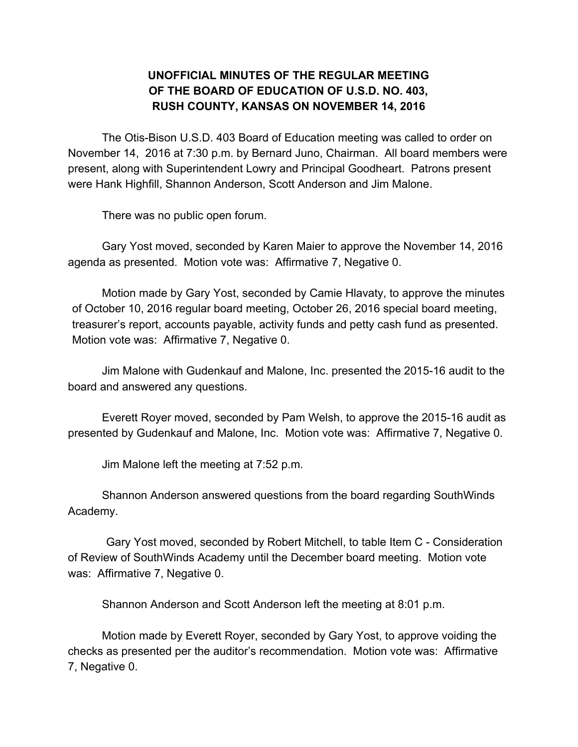## **UNOFFICIAL MINUTES OF THE REGULAR MEETING OF THE BOARD OF EDUCATION OF U.S.D. NO. 403, RUSH COUNTY, KANSAS ON NOVEMBER 14, 2016**

The Otis-Bison U.S.D. 403 Board of Education meeting was called to order on November 14, 2016 at 7:30 p.m. by Bernard Juno, Chairman. All board members were present, along with Superintendent Lowry and Principal Goodheart. Patrons present were Hank Highfill, Shannon Anderson, Scott Anderson and Jim Malone.

There was no public open forum.

Gary Yost moved, seconded by Karen Maier to approve the November 14, 2016 agenda as presented. Motion vote was: Affirmative 7, Negative 0.

Motion made by Gary Yost, seconded by Camie Hlavaty, to approve the minutes of October 10, 2016 regular board meeting, October 26, 2016 special board meeting, treasurer's report, accounts payable, activity funds and petty cash fund as presented. Motion vote was: Affirmative 7, Negative 0.

Jim Malone with Gudenkauf and Malone, Inc. presented the 2015-16 audit to the board and answered any questions.

Everett Royer moved, seconded by Pam Welsh, to approve the 2015-16 audit as presented by Gudenkauf and Malone, Inc. Motion vote was: Affirmative 7, Negative 0.

Jim Malone left the meeting at 7:52 p.m.

Shannon Anderson answered questions from the board regarding SouthWinds Academy.

Gary Yost moved, seconded by Robert Mitchell, to table Item C - Consideration of Review of SouthWinds Academy until the December board meeting. Motion vote was: Affirmative 7, Negative 0.

Shannon Anderson and Scott Anderson left the meeting at 8:01 p.m.

Motion made by Everett Royer, seconded by Gary Yost, to approve voiding the checks as presented per the auditor's recommendation. Motion vote was: Affirmative 7, Negative 0.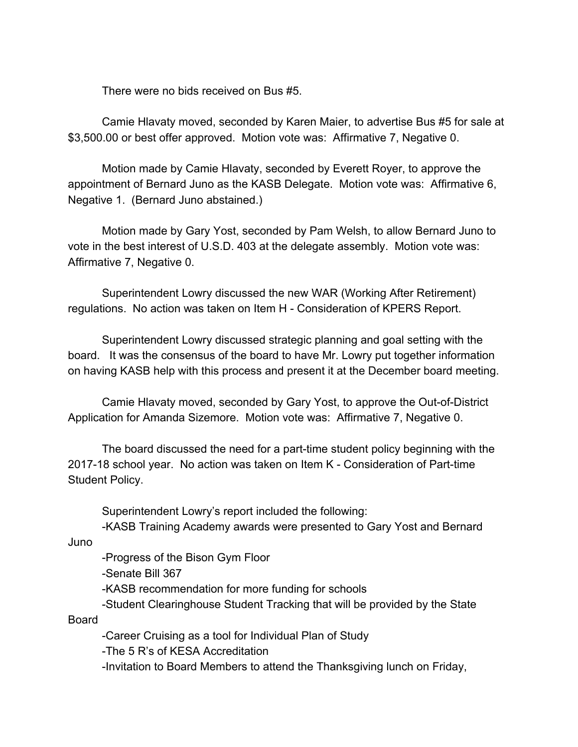There were no bids received on Bus #5.

Camie Hlavaty moved, seconded by Karen Maier, to advertise Bus #5 for sale at \$3,500.00 or best offer approved. Motion vote was: Affirmative 7, Negative 0.

Motion made by Camie Hlavaty, seconded by Everett Royer, to approve the appointment of Bernard Juno as the KASB Delegate. Motion vote was: Affirmative 6, Negative 1. (Bernard Juno abstained.)

Motion made by Gary Yost, seconded by Pam Welsh, to allow Bernard Juno to vote in the best interest of U.S.D. 403 at the delegate assembly. Motion vote was: Affirmative 7, Negative 0.

Superintendent Lowry discussed the new WAR (Working After Retirement) regulations. No action was taken on Item H - Consideration of KPERS Report.

Superintendent Lowry discussed strategic planning and goal setting with the board. It was the consensus of the board to have Mr. Lowry put together information on having KASB help with this process and present it at the December board meeting.

Camie Hlavaty moved, seconded by Gary Yost, to approve the Out-of-District Application for Amanda Sizemore. Motion vote was: Affirmative 7, Negative 0.

The board discussed the need for a part-time student policy beginning with the 2017-18 school year. No action was taken on Item K - Consideration of Part-time Student Policy.

Superintendent Lowry's report included the following:

-KASB Training Academy awards were presented to Gary Yost and Bernard

Juno

-Progress of the Bison Gym Floor

-Senate Bill 367

-KASB recommendation for more funding for schools

-Student Clearinghouse Student Tracking that will be provided by the State Board

-Career Cruising as a tool for Individual Plan of Study

-The 5 R's of KESA Accreditation

-Invitation to Board Members to attend the Thanksgiving lunch on Friday,